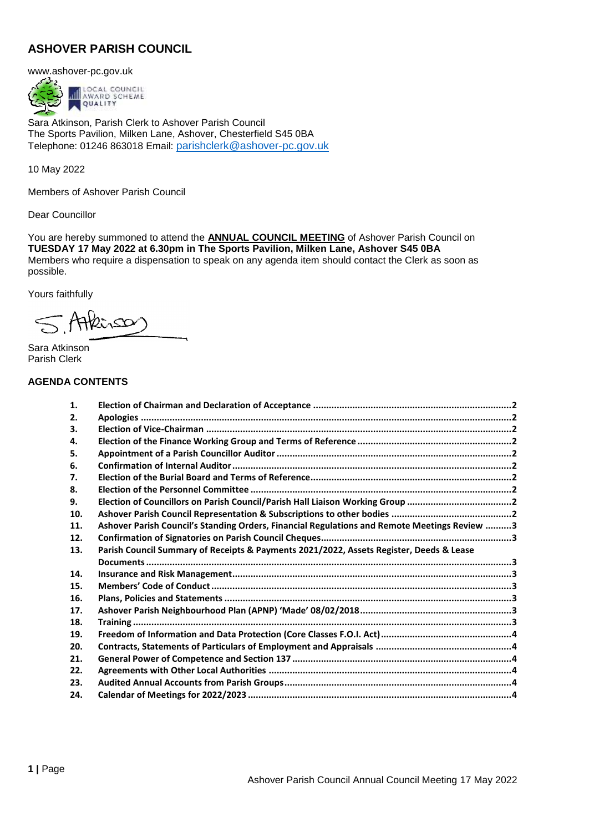# **ASHOVER PARISH COUNCIL**

www.ashover-pc.gov.uk



Sara Atkinson, Parish Clerk to Ashover Parish Council The Sports Pavilion, Milken Lane, Ashover, Chesterfield S45 0BA Telephone: 01246 863018 Email: [parishclerk@ashover-pc.gov.uk](mailto:parishclerk@ashover-pc.gov.uk)

10 May 2022

Members of Ashover Parish Council

Dear Councillor

You are hereby summoned to attend the **ANNUAL COUNCIL MEETING** of Ashover Parish Council on **TUESDAY 17 May 2022 at 6.30pm in The Sports Pavilion, Milken Lane, Ashover S45 0BA** Members who require a dispensation to speak on any agenda item should contact the Clerk as soon as possible.

Yours faithfully

5 Athrison

Sara Atkinson Parish Clerk

# **AGENDA CONTENTS**

| 1.  |                                                                                              |  |
|-----|----------------------------------------------------------------------------------------------|--|
| 2.  |                                                                                              |  |
| 3.  |                                                                                              |  |
| 4.  |                                                                                              |  |
| 5.  |                                                                                              |  |
| 6.  |                                                                                              |  |
| 7.  |                                                                                              |  |
| 8.  |                                                                                              |  |
| 9.  | Election of Councillors on Parish Council/Parish Hall Liaison Working Group 2                |  |
| 10. |                                                                                              |  |
| 11. | Ashover Parish Council's Standing Orders, Financial Regulations and Remote Meetings Review 3 |  |
| 12. |                                                                                              |  |
| 13. | Parish Council Summary of Receipts & Payments 2021/2022, Assets Register, Deeds & Lease      |  |
|     |                                                                                              |  |
| 14. |                                                                                              |  |
| 15. |                                                                                              |  |
| 16. |                                                                                              |  |
| 17. |                                                                                              |  |
|     |                                                                                              |  |
| 18. |                                                                                              |  |
| 19. |                                                                                              |  |
| 20. |                                                                                              |  |
| 21. |                                                                                              |  |
| 22. |                                                                                              |  |
| 23. |                                                                                              |  |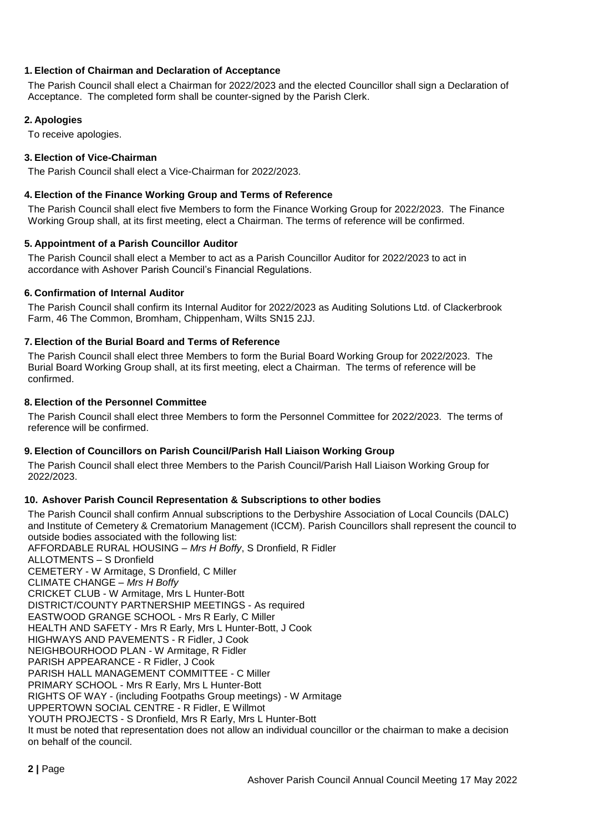# <span id="page-1-0"></span>**1. Election of Chairman and Declaration of Acceptance**

The Parish Council shall elect a Chairman for 2022/2023 and the elected Councillor shall sign a Declaration of Acceptance. The completed form shall be counter-signed by the Parish Clerk.

# <span id="page-1-1"></span>**2. Apologies**

<span id="page-1-2"></span>To receive apologies.

# **3. Election of Vice-Chairman**

<span id="page-1-3"></span>The Parish Council shall elect a Vice-Chairman for 2022/2023.

# **4. Election of the Finance Working Group and Terms of Reference**

The Parish Council shall elect five Members to form the Finance Working Group for 2022/2023. The Finance Working Group shall, at its first meeting, elect a Chairman. The terms of reference will be confirmed.

# <span id="page-1-4"></span>**5. Appointment of a Parish Councillor Auditor**

The Parish Council shall elect a Member to act as a Parish Councillor Auditor for 2022/2023 to act in accordance with Ashover Parish Council's Financial Regulations.

# <span id="page-1-5"></span>**6. Confirmation of Internal Auditor**

The Parish Council shall confirm its Internal Auditor for 2022/2023 as Auditing Solutions Ltd. of Clackerbrook Farm, 46 The Common, Bromham, Chippenham, Wilts SN15 2JJ.

# <span id="page-1-6"></span>**7. Election of the Burial Board and Terms of Reference**

The Parish Council shall elect three Members to form the Burial Board Working Group for 2022/2023. The Burial Board Working Group shall, at its first meeting, elect a Chairman. The terms of reference will be confirmed.

# <span id="page-1-7"></span>**8. Election of the Personnel Committee**

The Parish Council shall elect three Members to form the Personnel Committee for 2022/2023. The terms of reference will be confirmed.

# <span id="page-1-8"></span>**9. Election of Councillors on Parish Council/Parish Hall Liaison Working Group**

The Parish Council shall elect three Members to the Parish Council/Parish Hall Liaison Working Group for 2022/2023.

# <span id="page-1-9"></span>**10. Ashover Parish Council Representation & Subscriptions to other bodies**

The Parish Council shall confirm Annual subscriptions to the Derbyshire Association of Local Councils (DALC) and Institute of Cemetery & Crematorium Management (ICCM). Parish Councillors shall represent the council to outside bodies associated with the following list: AFFORDABLE RURAL HOUSING – *Mrs H Boffy*, S Dronfield, R Fidler ALLOTMENTS – S Dronfield CEMETERY - W Armitage, S Dronfield, C Miller CLIMATE CHANGE – *Mrs H Boffy* CRICKET CLUB - W Armitage, Mrs L Hunter-Bott DISTRICT/COUNTY PARTNERSHIP MEETINGS - As required EASTWOOD GRANGE SCHOOL - Mrs R Early, C Miller HEALTH AND SAFETY - Mrs R Early, Mrs L Hunter-Bott, J Cook HIGHWAYS AND PAVEMENTS - R Fidler, J Cook NEIGHBOURHOOD PLAN - W Armitage, R Fidler PARISH APPEARANCE - R Fidler, J Cook PARISH HALL MANAGEMENT COMMITTEE - C Miller PRIMARY SCHOOL - Mrs R Early, Mrs L Hunter-Bott RIGHTS OF WAY - (including Footpaths Group meetings) - W Armitage UPPERTOWN SOCIAL CENTRE - R Fidler, E Willmot YOUTH PROJECTS - S Dronfield, Mrs R Early, Mrs L Hunter-Bott It must be noted that representation does not allow an individual councillor or the chairman to make a decision on behalf of the council.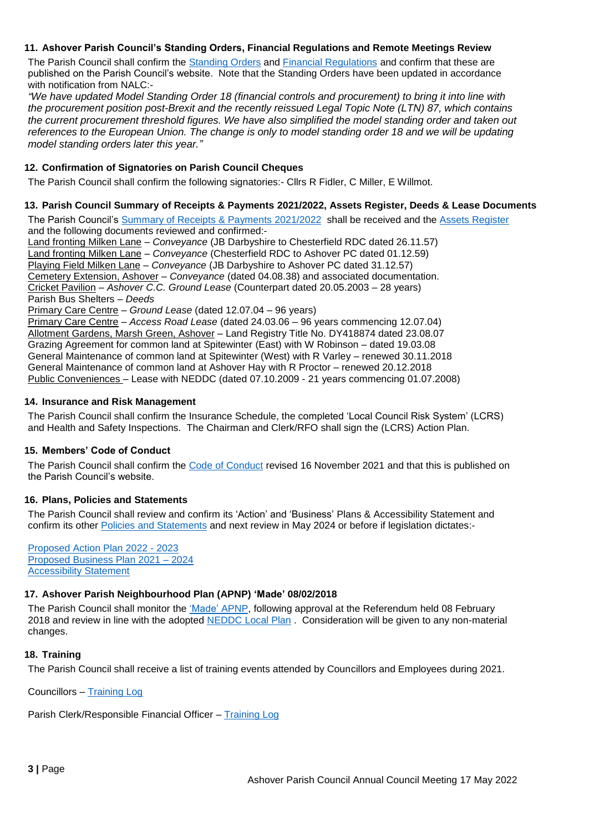# <span id="page-2-0"></span>**11. Ashover Parish Council's Standing Orders, Financial Regulations and Remote Meetings Review**

The Parish Council shall confirm the [Standing Orders](https://www.ashover-pc.gov.uk/uploads/apc-standing-orders-revised-april-2022.pdf?v=1651748280) and [Financial Regulations](https://www.ashover-pc.gov.uk/uploads/apc-financial-regulations.pdf) and confirm that these are published on the Parish Council's website. Note that the Standing Orders have been updated in accordance with notification from NALC:-

*"We have updated Model Standing Order 18 (financial controls and procurement) to bring it into line with the procurement position post-Brexit and the recently reissued Legal Topic Note (LTN) 87, which contains the current procurement threshold figures. We have also simplified the model standing order and taken out references to the European Union. The change is only to model standing order 18 and we will be updating model standing orders later this year."*

# <span id="page-2-1"></span>**12. Confirmation of Signatories on Parish Council Cheques**

<span id="page-2-2"></span>The Parish Council shall confirm the following signatories:- Cllrs R Fidler, C Miller, E Willmot.

#### **13. Parish Council Summary of Receipts & Payments 2021/2022, Assets Register, Deeds & Lease Documents**

The Parish Council's [Summary of Receipts & Payments](https://www.ashover-pc.gov.uk/uploads/summary-receipts-and-payments-for-year-ended-31st-march-2022.pdf) 2021/2022 shall be received and the [Assets Register](https://www.ashover-pc.gov.uk/uploads/assets-register-july-2021.pdf) and the following documents reviewed and confirmed:-

Land fronting Milken Lane – *Conveyance* (JB Darbyshire to Chesterfield RDC dated 26.11.57) Land fronting Milken Lane – *Conveyance* (Chesterfield RDC to Ashover PC dated 01.12.59) Playing Field Milken Lane – *Conveyance* (JB Darbyshire to Ashover PC dated 31.12.57) Cemetery Extension, Ashover – *Conveyance* (dated 04.08.38) and associated documentation. Cricket Pavilion – *Ashover C.C. Ground Lease* (Counterpart dated 20.05.2003 – 28 years) Parish Bus Shelters – *Deeds*

Primary Care Centre – *Ground Lease* (dated 12.07.04 – 96 years)

Primary Care Centre – *Access Road Lease* (dated 24.03.06 – 96 years commencing 12.07.04) Allotment Gardens, Marsh Green, Ashover – Land Registry Title No. DY418874 dated 23.08.07 Grazing Agreement for common land at Spitewinter (East) with W Robinson – dated 19.03.08 General Maintenance of common land at Spitewinter (West) with R Varley – renewed 30.11.2018 General Maintenance of common land at Ashover Hay with R Proctor – renewed 20.12.2018 Public Conveniences – Lease with NEDDC (dated 07.10.2009 - 21 years commencing 01.07.2008)

#### <span id="page-2-3"></span>**14. Insurance and Risk Management**

The Parish Council shall confirm the Insurance Schedule, the completed 'Local Council Risk System' (LCRS) and Health and Safety Inspections. The Chairman and Clerk/RFO shall sign the (LCRS) Action Plan.

# <span id="page-2-4"></span>**15. Members' Code of Conduct**

The Parish Council shall confirm the [Code of Conduct](https://www.ashover-pc.gov.uk/uploads/apc-code-of-conduct-2021.pdf) revised 16 November 2021 and that this is published on the Parish Council's website.

# <span id="page-2-5"></span>**16. Plans, Policies and Statements**

The Parish Council shall review and confirm its 'Action' and 'Business' Plans & Accessibility Statement and confirm its other Policies and [Statements](https://www.ashover-pc.gov.uk/uploads/a-policies-plans-and-statements-list-2021-2022-1.pdf) and next review in May 2024 or before if legislation dictates:-

[Proposed Action Plan 2022](https://www.ashover-pc.gov.uk/uploads/apc-action-plan-may-2022.pdf) - 2023 [Proposed Business Plan 2021](https://www.ashover-pc.gov.uk/uploads/apc-business-plan-may-2022.pdf) – 2024 [Accessibility Statement](https://www.ashover-pc.gov.uk/uploads/s7-accessibility-statement-for-ashover-parish-council.pdf?v=1637158959)

# <span id="page-2-6"></span>**17. Ashover Parish Neighbourhood Plan (APNP) 'Made' 08/02/2018**

The Parish Council shall monitor the ['Made' APNP,](https://www.ne-derbyshire.gov.uk/documents/neighbourhood-planning/ashover/ashover-neighbourhood-plan-made-version-feb-2018) following approval at the Referendum held 08 February 2018 and review in line with the adopted [NEDDC Local Plan](https://www.ne-derbyshire.gov.uk/planning-and-local-plan/planning-policy-and-local-plan/development-plan#ANE) . Consideration will be given to any non-material changes.

# <span id="page-2-7"></span>**18. Training**

The Parish Council shall receive a list of training events attended by Councillors and Employees during 2021.

Councillors – [Training Log](https://www.ashover-pc.gov.uk/uploads/cllr-training-log-2021.pdf)

Parish Clerk/Responsible Financial Officer – [Training Log](https://www.ashover-pc.gov.uk/uploads/clerks-training-log-cpd-points-form-2021.pdf)